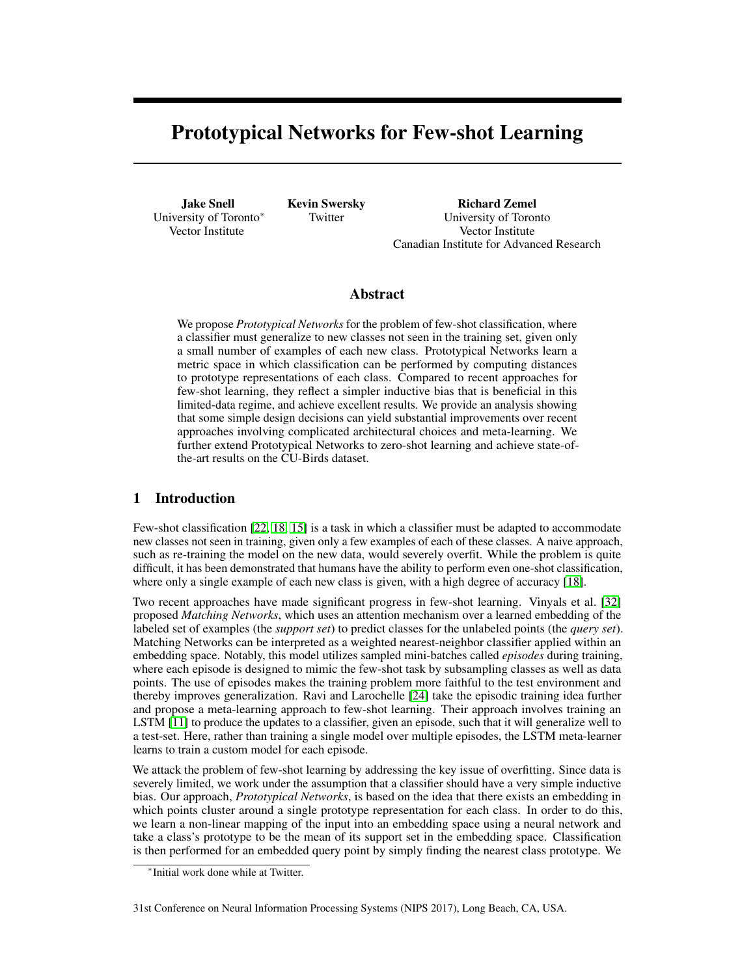# Prototypical Networks for Few-shot Learning

Jake Snell University of Toronto<sup>∗</sup> Vector Institute

Kevin Swersky Twitter

Richard Zemel University of Toronto Vector Institute Canadian Institute for Advanced Research

# Abstract

We propose *Prototypical Networks* for the problem of few-shot classification, where a classifier must generalize to new classes not seen in the training set, given only a small number of examples of each new class. Prototypical Networks learn a metric space in which classification can be performed by computing distances to prototype representations of each class. Compared to recent approaches for few-shot learning, they reflect a simpler inductive bias that is beneficial in this limited-data regime, and achieve excellent results. We provide an analysis showing that some simple design decisions can yield substantial improvements over recent approaches involving complicated architectural choices and meta-learning. We further extend Prototypical Networks to zero-shot learning and achieve state-ofthe-art results on the CU-Birds dataset.

# 1 Introduction

Few-shot classification [\[22,](#page-9-0) [18,](#page-9-1) [15\]](#page-9-2) is a task in which a classifier must be adapted to accommodate new classes not seen in training, given only a few examples of each of these classes. A naive approach, such as re-training the model on the new data, would severely overfit. While the problem is quite difficult, it has been demonstrated that humans have the ability to perform even one-shot classification, where only a single example of each new class is given, with a high degree of accuracy [\[18\]](#page-9-1).

Two recent approaches have made significant progress in few-shot learning. Vinyals et al. [\[32\]](#page-10-0) proposed *Matching Networks*, which uses an attention mechanism over a learned embedding of the labeled set of examples (the *support set*) to predict classes for the unlabeled points (the *query set*). Matching Networks can be interpreted as a weighted nearest-neighbor classifier applied within an embedding space. Notably, this model utilizes sampled mini-batches called *episodes* during training, where each episode is designed to mimic the few-shot task by subsampling classes as well as data points. The use of episodes makes the training problem more faithful to the test environment and thereby improves generalization. Ravi and Larochelle [\[24\]](#page-9-3) take the episodic training idea further and propose a meta-learning approach to few-shot learning. Their approach involves training an LSTM [\[11\]](#page-9-4) to produce the updates to a classifier, given an episode, such that it will generalize well to a test-set. Here, rather than training a single model over multiple episodes, the LSTM meta-learner learns to train a custom model for each episode.

We attack the problem of few-shot learning by addressing the key issue of overfitting. Since data is severely limited, we work under the assumption that a classifier should have a very simple inductive bias. Our approach, *Prototypical Networks*, is based on the idea that there exists an embedding in which points cluster around a single prototype representation for each class. In order to do this, we learn a non-linear mapping of the input into an embedding space using a neural network and take a class's prototype to be the mean of its support set in the embedding space. Classification is then performed for an embedded query point by simply finding the nearest class prototype. We

<sup>∗</sup> Initial work done while at Twitter.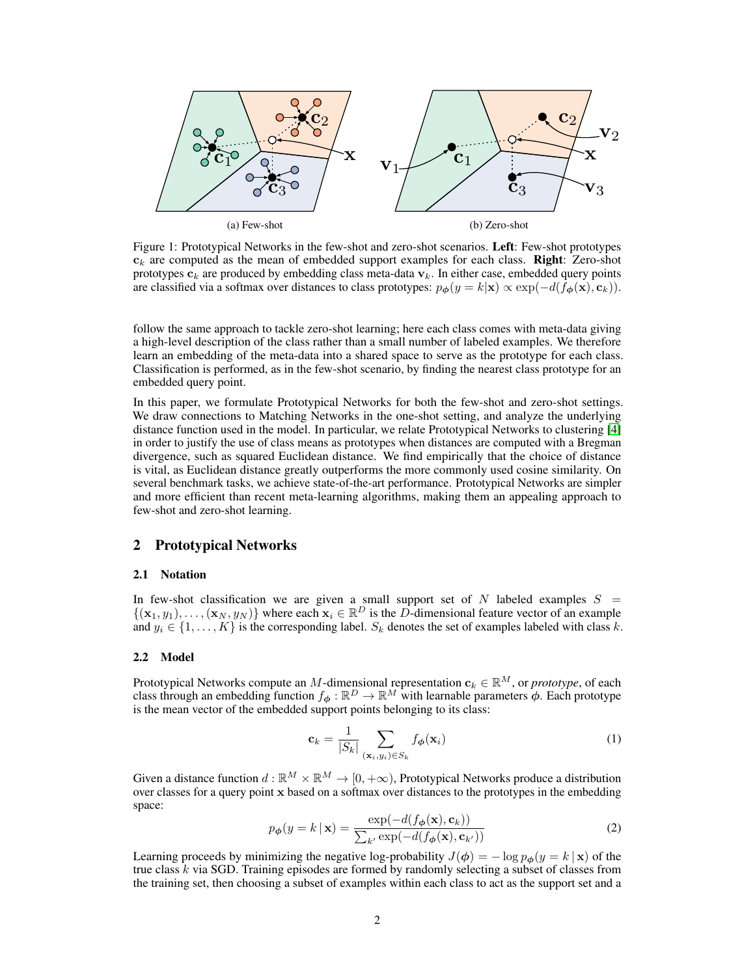<span id="page-1-2"></span>

Figure 1: Prototypical Networks in the few-shot and zero-shot scenarios. Left: Few-shot prototypes  $c_k$  are computed as the mean of embedded support examples for each class. **Right**: Zero-shot prototypes  $c_k$  are produced by embedding class meta-data  $v_k$ . In either case, embedded query points are classified via a softmax over distances to class prototypes:  $p_{\phi}(y = k | \mathbf{x}) \propto \exp(-d(f_{\phi}(\mathbf{x}), \mathbf{c}_k)).$ 

follow the same approach to tackle zero-shot learning; here each class comes with meta-data giving a high-level description of the class rather than a small number of labeled examples. We therefore learn an embedding of the meta-data into a shared space to serve as the prototype for each class. Classification is performed, as in the few-shot scenario, by finding the nearest class prototype for an embedded query point.

In this paper, we formulate Prototypical Networks for both the few-shot and zero-shot settings. We draw connections to Matching Networks in the one-shot setting, and analyze the underlying distance function used in the model. In particular, we relate Prototypical Networks to clustering [\[4\]](#page-9-5) in order to justify the use of class means as prototypes when distances are computed with a Bregman divergence, such as squared Euclidean distance. We find empirically that the choice of distance is vital, as Euclidean distance greatly outperforms the more commonly used cosine similarity. On several benchmark tasks, we achieve state-of-the-art performance. Prototypical Networks are simpler and more efficient than recent meta-learning algorithms, making them an appealing approach to few-shot and zero-shot learning.

## 2 Prototypical Networks

#### 2.1 Notation

In few-shot classification we are given a small support set of  $N$  labeled examples  $S =$  $\{(\mathbf{x}_1, y_1), \ldots, (\mathbf{x}_N, y_N)\}\)$  where each  $\mathbf{x}_i \in \mathbb{R}^D$  is the D-dimensional feature vector of an example and  $y_i \in \{1, \ldots, K\}$  is the corresponding label.  $S_k$  denotes the set of examples labeled with class k.

#### 2.2 Model

Prototypical Networks compute an M-dimensional representation  $\mathbf{c}_k \in \mathbb{R}^M$ , or *prototype*, of each class through an embedding function  $f_{\phi}: \mathbb{R}^D \to \mathbb{R}^M$  with learnable parameters  $\phi$ . Each prototype is the mean vector of the embedded support points belonging to its class:

<span id="page-1-0"></span>
$$
\mathbf{c}_k = \frac{1}{|S_k|} \sum_{(\mathbf{x}_i, y_i) \in S_k} f_{\boldsymbol{\phi}}(\mathbf{x}_i)
$$
 (1)

<span id="page-1-1"></span>Given a distance function  $d : \mathbb{R}^M \times \mathbb{R}^M \to [0, +\infty)$ , Prototypical Networks produce a distribution over classes for a query point x based on a softmax over distances to the prototypes in the embedding space:

$$
p_{\boldsymbol{\phi}}(y = k \mid \mathbf{x}) = \frac{\exp(-d(f_{\boldsymbol{\phi}}(\mathbf{x}), \mathbf{c}_k))}{\sum_{k'} \exp(-d(f_{\boldsymbol{\phi}}(\mathbf{x}), \mathbf{c}_{k'}))}
$$
(2)

Learning proceeds by minimizing the negative log-probability  $J(\phi) = -\log p_{\phi}(y = k | \mathbf{x})$  of the true class  $k$  via SGD. Training episodes are formed by randomly selecting a subset of classes from the training set, then choosing a subset of examples within each class to act as the support set and a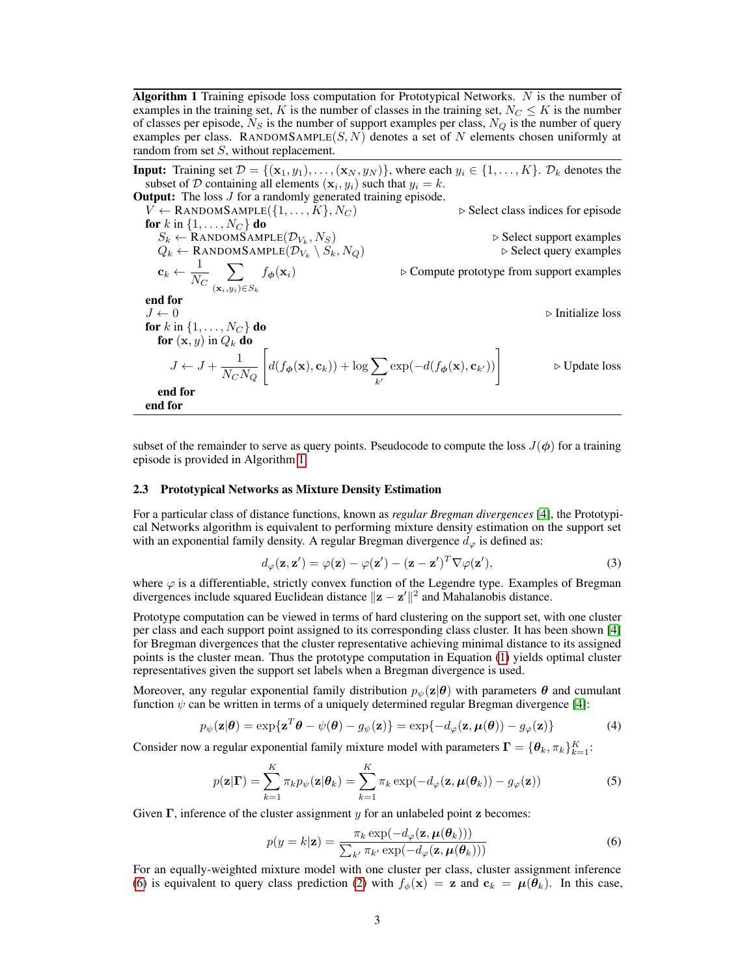<span id="page-2-0"></span>**Algorithm 1** Training episode loss computation for Prototypical Networks.  $N$  is the number of examples in the training set, K is the number of classes in the training set,  $N_C \leq K$  is the number of classes per episode,  $N<sub>S</sub>$  is the number of support examples per class,  $N<sub>Q</sub>$  is the number of query examples per class. RANDOMSAMPLE(S, N) denotes a set of N elements chosen uniformly at random from set S, without replacement.

**Input:** Training set  $\mathcal{D} = \{(\mathbf{x}_1, y_1), \dots, (\mathbf{x}_N, y_N)\}\)$ , where each  $y_i \in \{1, \dots, K\}$ .  $\mathcal{D}_k$  denotes the subset of D containing all elements  $(\mathbf{x}_i, y_i)$  such that  $y_i = k$ .

**Output:** The loss *J* for a randomly generated training episode.  $V \leftarrow$  RANDOMSAMPLE $\{1, \ldots, K\}$ ,  $N_C$   $\triangleright$  Select class indices for episode for  $k$  in  $\{1,\ldots,N_C\}$  do  $S_k \leftarrow \text{Randomsample}(\mathcal{D}_{V_k})$  $\triangleright$  Select support examples  $Q_k \leftarrow \text{Randomsample}(\mathcal{D}_{V_k})$  $\triangleright$  Select query examples  $\mathbf{c}_k \leftarrow \frac{1}{\mathbf{v}^{\tau}}$  $N_C$  $\sum$  $(\mathbf{x}_i,y_i) \in S_k$  $\triangleright$  Compute prototype from support examples end for  $J \leftarrow 0$  . Initialize loss for  $k$  in  $\{1, \ldots, N_C\}$  do for  $(\mathbf{x}, y)$  in  $Q_k$  do  $J \leftarrow J + \frac{1}{N}$  $N_C N_Q$  $\left[ d(f_{\boldsymbol{\phi}}(\mathbf{x}), \mathbf{c}_k) + \log \sum_{k=1}^{k} d_k(\mathbf{x}_k - \mathbf{x}_k) \right]$  $k<sub>1</sub>$  $\exp(-d(f_{\boldsymbol{\phi}}(\mathbf{x}), \mathbf{c}_{k'}))$ . Update loss end for end for

subset of the remainder to serve as query points. Pseudocode to compute the loss  $J(\phi)$  for a training episode is provided in Algorithm [1.](#page-2-0)

#### <span id="page-2-2"></span>2.3 Prototypical Networks as Mixture Density Estimation

For a particular class of distance functions, known as *regular Bregman divergences* [\[4\]](#page-9-5), the Prototypical Networks algorithm is equivalent to performing mixture density estimation on the support set with an exponential family density. A regular Bregman divergence  $d_{\varphi}$  is defined as:

$$
d_{\varphi}(\mathbf{z}, \mathbf{z}') = \varphi(\mathbf{z}) - \varphi(\mathbf{z}') - (\mathbf{z} - \mathbf{z}')^T \nabla \varphi(\mathbf{z}'),
$$
\n(3)

where  $\varphi$  is a differentiable, strictly convex function of the Legendre type. Examples of Bregman divergences include squared Euclidean distance  $\|\mathbf{z} - \mathbf{z}'\|^2$  and Mahalanobis distance.

Prototype computation can be viewed in terms of hard clustering on the support set, with one cluster per class and each support point assigned to its corresponding class cluster. It has been shown [\[4\]](#page-9-5) for Bregman divergences that the cluster representative achieving minimal distance to its assigned points is the cluster mean. Thus the prototype computation in Equation [\(1\)](#page-1-0) yields optimal cluster representatives given the support set labels when a Bregman divergence is used.

Moreover, any regular exponential family distribution  $p_{\psi}(\mathbf{z}|\boldsymbol{\theta})$  with parameters  $\boldsymbol{\theta}$  and cumulant function  $\psi$  can be written in terms of a uniquely determined regular Bregman divergence [\[4\]](#page-9-5):

$$
p_{\psi}(\mathbf{z}|\boldsymbol{\theta}) = \exp\{\mathbf{z}^T\boldsymbol{\theta} - \psi(\boldsymbol{\theta}) - g_{\psi}(\mathbf{z})\} = \exp\{-d_{\varphi}(\mathbf{z}, \boldsymbol{\mu}(\boldsymbol{\theta})) - g_{\varphi}(\mathbf{z})\}
$$
(4)

Consider now a regular exponential family mixture model with parameters  $\mathbf{\Gamma} = \{\theta_k, \pi_k\}_{k=1}^K$ :

$$
p(\mathbf{z}|\mathbf{\Gamma}) = \sum_{k=1}^{K} \pi_k p_{\psi}(\mathbf{z}|\boldsymbol{\theta}_k) = \sum_{k=1}^{K} \pi_k \exp(-d_{\varphi}(\mathbf{z}, \boldsymbol{\mu}(\boldsymbol{\theta}_k)) - g_{\varphi}(\mathbf{z}))
$$
(5)

Given  $\Gamma$ , inference of the cluster assignment y for an unlabeled point z becomes:

<span id="page-2-1"></span>
$$
p(y = k|\mathbf{z}) = \frac{\pi_k \exp(-d_{\varphi}(\mathbf{z}, \boldsymbol{\mu}(\boldsymbol{\theta}_k)))}{\sum_{k'} \pi_{k'} \exp(-d_{\varphi}(\mathbf{z}, \boldsymbol{\mu}(\boldsymbol{\theta}_k)))}
$$
(6)

For an equally-weighted mixture model with one cluster per class, cluster assignment inference [\(6\)](#page-2-1) is equivalent to query class prediction [\(2\)](#page-1-1) with  $f_{\phi}(\mathbf{x}) = \mathbf{z}$  and  $\mathbf{c}_k = \mu(\bar{\theta}_k)$ . In this case,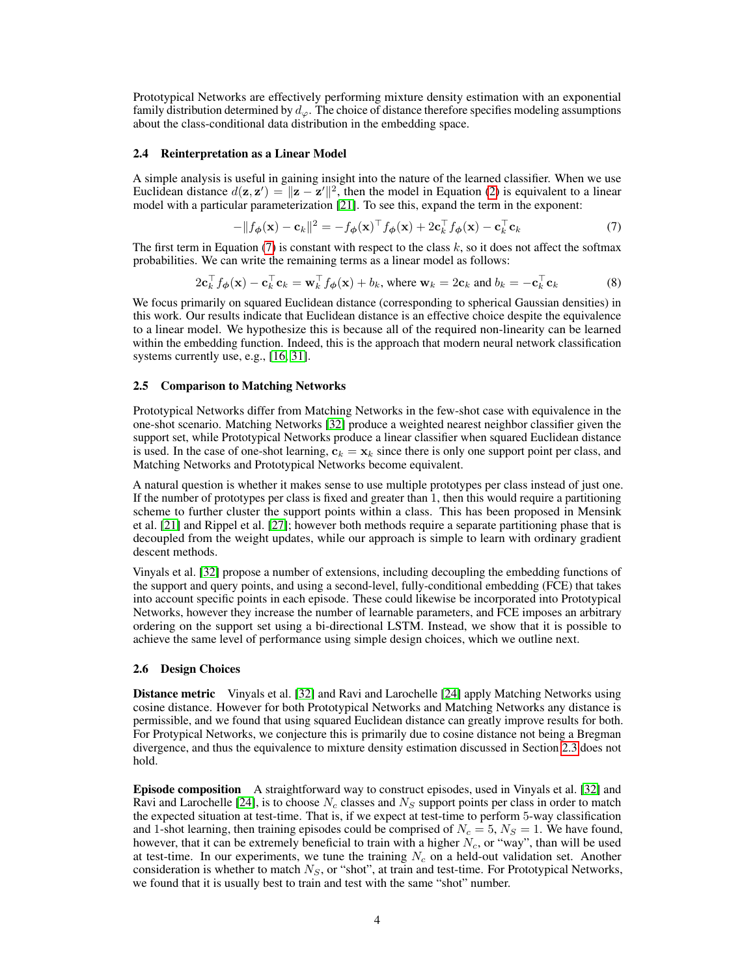Prototypical Networks are effectively performing mixture density estimation with an exponential family distribution determined by  $d_{\varphi}$ . The choice of distance therefore specifies modeling assumptions about the class-conditional data distribution in the embedding space.

#### 2.4 Reinterpretation as a Linear Model

A simple analysis is useful in gaining insight into the nature of the learned classifier. When we use Euclidean distance  $d(\mathbf{z}, \mathbf{z}') = ||\mathbf{z} - \mathbf{z}'||^2$ , then the model in Equation [\(2\)](#page-1-1) is equivalent to a linear model with a particular parameterization [\[21\]](#page-9-6). To see this, expand the term in the exponent:

<span id="page-3-0"></span>
$$
-\|f_{\boldsymbol{\phi}}(\mathbf{x}) - \mathbf{c}_k\|^2 = -f_{\boldsymbol{\phi}}(\mathbf{x})^\top f_{\boldsymbol{\phi}}(\mathbf{x}) + 2\mathbf{c}_k^\top f_{\boldsymbol{\phi}}(\mathbf{x}) - \mathbf{c}_k^\top \mathbf{c}_k \tag{7}
$$

The first term in Equation [\(7\)](#page-3-0) is constant with respect to the class  $k$ , so it does not affect the softmax probabilities. We can write the remaining terms as a linear model as follows:

$$
2\mathbf{c}_k^\top f_\phi(\mathbf{x}) - \mathbf{c}_k^\top \mathbf{c}_k = \mathbf{w}_k^\top f_\phi(\mathbf{x}) + b_k, \text{ where } \mathbf{w}_k = 2\mathbf{c}_k \text{ and } b_k = -\mathbf{c}_k^\top \mathbf{c}_k \tag{8}
$$

We focus primarily on squared Euclidean distance (corresponding to spherical Gaussian densities) in this work. Our results indicate that Euclidean distance is an effective choice despite the equivalence to a linear model. We hypothesize this is because all of the required non-linearity can be learned within the embedding function. Indeed, this is the approach that modern neural network classification systems currently use, e.g., [\[16,](#page-9-7) [31\]](#page-10-1).

#### 2.5 Comparison to Matching Networks

Prototypical Networks differ from Matching Networks in the few-shot case with equivalence in the one-shot scenario. Matching Networks [\[32\]](#page-10-0) produce a weighted nearest neighbor classifier given the support set, while Prototypical Networks produce a linear classifier when squared Euclidean distance is used. In the case of one-shot learning,  $c_k = x_k$  since there is only one support point per class, and Matching Networks and Prototypical Networks become equivalent.

A natural question is whether it makes sense to use multiple prototypes per class instead of just one. If the number of prototypes per class is fixed and greater than 1, then this would require a partitioning scheme to further cluster the support points within a class. This has been proposed in Mensink et al. [\[21\]](#page-9-6) and Rippel et al. [\[27\]](#page-10-2); however both methods require a separate partitioning phase that is decoupled from the weight updates, while our approach is simple to learn with ordinary gradient descent methods.

Vinyals et al. [\[32\]](#page-10-0) propose a number of extensions, including decoupling the embedding functions of the support and query points, and using a second-level, fully-conditional embedding (FCE) that takes into account specific points in each episode. These could likewise be incorporated into Prototypical Networks, however they increase the number of learnable parameters, and FCE imposes an arbitrary ordering on the support set using a bi-directional LSTM. Instead, we show that it is possible to achieve the same level of performance using simple design choices, which we outline next.

#### 2.6 Design Choices

Distance metric Vinyals et al. [\[32\]](#page-10-0) and Ravi and Larochelle [\[24\]](#page-9-3) apply Matching Networks using cosine distance. However for both Prototypical Networks and Matching Networks any distance is permissible, and we found that using squared Euclidean distance can greatly improve results for both. For Protypical Networks, we conjecture this is primarily due to cosine distance not being a Bregman divergence, and thus the equivalence to mixture density estimation discussed in Section [2.3](#page-2-2) does not hold.

Episode composition A straightforward way to construct episodes, used in Vinyals et al. [\[32\]](#page-10-0) and Ravi and Larochelle [\[24\]](#page-9-3), is to choose  $N_c$  classes and  $N_s$  support points per class in order to match the expected situation at test-time. That is, if we expect at test-time to perform 5-way classification and 1-shot learning, then training episodes could be comprised of  $N_c = 5$ ,  $N_s = 1$ . We have found, however, that it can be extremely beneficial to train with a higher  $N_c$ , or "way", than will be used at test-time. In our experiments, we tune the training  $N_c$  on a held-out validation set. Another consideration is whether to match  $N<sub>S</sub>$ , or "shot", at train and test-time. For Prototypical Networks, we found that it is usually best to train and test with the same "shot" number.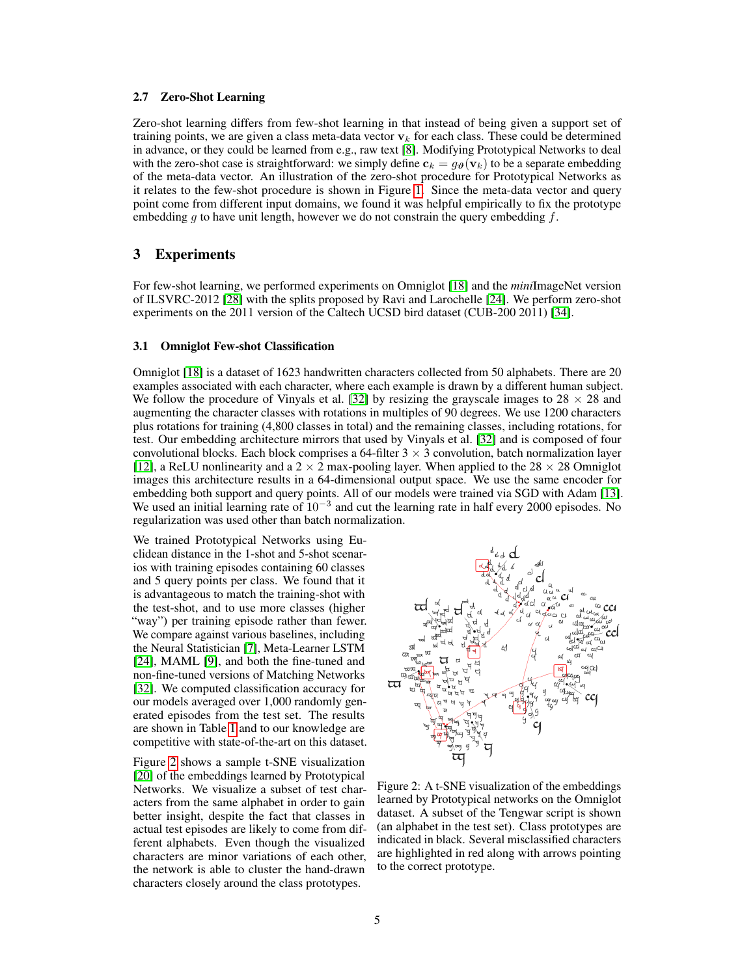#### 2.7 Zero-Shot Learning

Zero-shot learning differs from few-shot learning in that instead of being given a support set of training points, we are given a class meta-data vector  $v_k$  for each class. These could be determined in advance, or they could be learned from e.g., raw text [\[8\]](#page-9-8). Modifying Prototypical Networks to deal with the zero-shot case is straightforward: we simply define  $c_k = g_{\theta}(v_k)$  to be a separate embedding of the meta-data vector. An illustration of the zero-shot procedure for Prototypical Networks as it relates to the few-shot procedure is shown in Figure [1.](#page-1-2) Since the meta-data vector and query point come from different input domains, we found it was helpful empirically to fix the prototype embedding g to have unit length, however we do not constrain the query embedding  $f$ .

## 3 Experiments

For few-shot learning, we performed experiments on Omniglot [\[18\]](#page-9-1) and the *mini*ImageNet version of ILSVRC-2012 [\[28\]](#page-10-3) with the splits proposed by Ravi and Larochelle [\[24\]](#page-9-3). We perform zero-shot experiments on the 2011 version of the Caltech UCSD bird dataset (CUB-200 2011) [\[34\]](#page-10-4).

#### 3.1 Omniglot Few-shot Classification

Omniglot [\[18\]](#page-9-1) is a dataset of 1623 handwritten characters collected from 50 alphabets. There are 20 examples associated with each character, where each example is drawn by a different human subject. We follow the procedure of Vinyals et al. [\[32\]](#page-10-0) by resizing the grayscale images to  $28 \times 28$  and augmenting the character classes with rotations in multiples of 90 degrees. We use 1200 characters plus rotations for training (4,800 classes in total) and the remaining classes, including rotations, for test. Our embedding architecture mirrors that used by Vinyals et al. [\[32\]](#page-10-0) and is composed of four convolutional blocks. Each block comprises a 64-filter  $3 \times 3$  convolution, batch normalization layer [\[12\]](#page-9-9), a ReLU nonlinearity and a  $2 \times 2$  max-pooling layer. When applied to the 28  $\times$  28 Omniglot images this architecture results in a 64-dimensional output space. We use the same encoder for embedding both support and query points. All of our models were trained via SGD with Adam [\[13\]](#page-9-10). We used an initial learning rate of 10<sup>-3</sup> and cut the learning rate in half every 2000 episodes. No regularization was used other than batch normalization.

We trained Prototypical Networks using Euclidean distance in the 1-shot and 5-shot scenarios with training episodes containing 60 classes and 5 query points per class. We found that it is advantageous to match the training-shot with the test-shot, and to use more classes (higher "way") per training episode rather than fewer. We compare against various baselines, including the Neural Statistician [\[7\]](#page-9-11), Meta-Learner LSTM [\[24\]](#page-9-3), MAML [\[9\]](#page-9-12), and both the fine-tuned and non-fine-tuned versions of Matching Networks [\[32\]](#page-10-0). We computed classification accuracy for our models averaged over 1,000 randomly generated episodes from the test set. The results are shown in Table [1](#page-5-0) and to our knowledge are competitive with state-of-the-art on this dataset.

Figure [2](#page-4-0) shows a sample t-SNE visualization [\[20\]](#page-9-13) of the embeddings learned by Prototypical Networks. We visualize a subset of test characters from the same alphabet in order to gain better insight, despite the fact that classes in actual test episodes are likely to come from different alphabets. Even though the visualized characters are minor variations of each other, the network is able to cluster the hand-drawn characters closely around the class prototypes.

<span id="page-4-0"></span>

Figure 2: A t-SNE visualization of the embeddings learned by Prototypical networks on the Omniglot dataset. A subset of the Tengwar script is shown (an alphabet in the test set). Class prototypes are indicated in black. Several misclassified characters are highlighted in red along with arrows pointing to the correct prototype.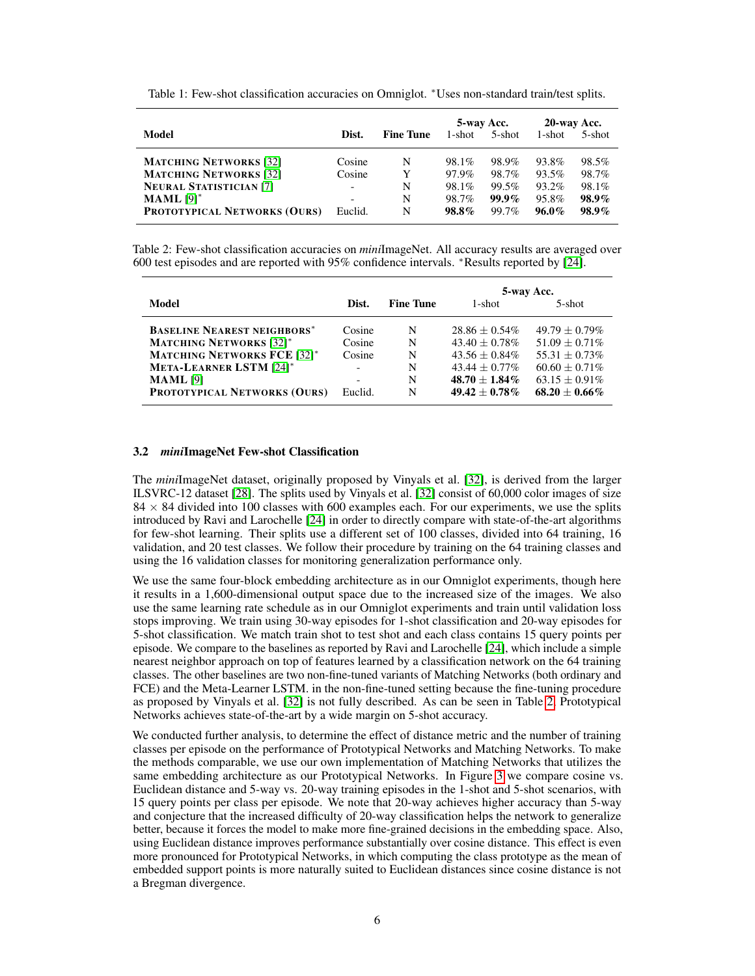<span id="page-5-0"></span>Table 1: Few-shot classification accuracies on Omniglot. <sup>∗</sup>Uses non-standard train/test splits.

|                                     |         |                  | 5-way Acc. |          | 20-way Acc. |          |
|-------------------------------------|---------|------------------|------------|----------|-------------|----------|
| Model                               | Dist.   | <b>Fine Tune</b> | 1-shot     | 5-shot   | 1-shot      | 5-shot   |
| <b>MATCHING NETWORKS</b> [32]       | Cosine  | N                | 98.1%      | 98.9%    | 93.8%       | 98.5%    |
| <b>MATCHING NETWORKS</b> [32]       | Cosine  | Y                | 97.9%      | 98.7%    | 93.5%       | 98.7%    |
| <b>NEURAL STATISTICIAN [7]</b>      | -       | N                | 98.1%      | 99.5%    | 93.2%       | 98.1%    |
| <b>MAML</b> $[9]$ <sup>*</sup>      |         | N                | 98.7%      | $99.9\%$ | 95.8%       | $98.9\%$ |
| <b>PROTOTYPICAL NETWORKS (OURS)</b> | Euclid. | N                | 98.8%      | 99.7%    | $96.0\%$    | $98.9\%$ |

<span id="page-5-1"></span>Table 2: Few-shot classification accuracies on *mini*ImageNet. All accuracy results are averaged over 600 test episodes and are reported with 95% confidence intervals. <sup>∗</sup>Results reported by [\[24\]](#page-9-3).

|                                     |                           |   | 5-way Acc.         |                    |  |
|-------------------------------------|---------------------------|---|--------------------|--------------------|--|
| Model                               | <b>Fine Tune</b><br>Dist. |   | 1-shot             | $5$ -shot          |  |
| <b>BASELINE NEAREST NEIGHBORS*</b>  | Cosine                    | N | $28.86 + 0.54\%$   | $49.79 + 0.79\%$   |  |
| <b>MATCHING NETWORKS</b> [32]*      | Cosine                    | N | $43.40 \pm 0.78\%$ | $51.09 + 0.71\%$   |  |
| <b>MATCHING NETWORKS FCE [32]*</b>  | Cosine                    | N | $43.56 + 0.84\%$   | $55.31 + 0.73\%$   |  |
| <b>META-LEARNER LSTM [24]*</b>      | -                         | N | $43.44 + 0.77\%$   | $60.60 + 0.71\%$   |  |
| <b>MAML</b> [9]                     |                           | N | $48.70 + 1.84\%$   | $63.15 + 0.91\%$   |  |
| <b>PROTOTYPICAL NETWORKS (OURS)</b> | Euclid.                   | N | $49.42 + 0.78\%$   | $68.20 \pm 0.66\%$ |  |

#### 3.2 *mini*ImageNet Few-shot Classification

The *mini*ImageNet dataset, originally proposed by Vinyals et al. [\[32\]](#page-10-0), is derived from the larger ILSVRC-12 dataset [\[28\]](#page-10-3). The splits used by Vinyals et al. [\[32\]](#page-10-0) consist of 60,000 color images of size  $84 \times 84$  divided into 100 classes with 600 examples each. For our experiments, we use the splits introduced by Ravi and Larochelle [\[24\]](#page-9-3) in order to directly compare with state-of-the-art algorithms for few-shot learning. Their splits use a different set of 100 classes, divided into 64 training, 16 validation, and 20 test classes. We follow their procedure by training on the 64 training classes and using the 16 validation classes for monitoring generalization performance only.

We use the same four-block embedding architecture as in our Omniglot experiments, though here it results in a 1,600-dimensional output space due to the increased size of the images. We also use the same learning rate schedule as in our Omniglot experiments and train until validation loss stops improving. We train using 30-way episodes for 1-shot classification and 20-way episodes for 5-shot classification. We match train shot to test shot and each class contains 15 query points per episode. We compare to the baselines as reported by Ravi and Larochelle [\[24\]](#page-9-3), which include a simple nearest neighbor approach on top of features learned by a classification network on the 64 training classes. The other baselines are two non-fine-tuned variants of Matching Networks (both ordinary and FCE) and the Meta-Learner LSTM. in the non-fine-tuned setting because the fine-tuning procedure as proposed by Vinyals et al. [\[32\]](#page-10-0) is not fully described. As can be seen in Table [2,](#page-5-1) Prototypical Networks achieves state-of-the-art by a wide margin on 5-shot accuracy.

We conducted further analysis, to determine the effect of distance metric and the number of training classes per episode on the performance of Prototypical Networks and Matching Networks. To make the methods comparable, we use our own implementation of Matching Networks that utilizes the same embedding architecture as our Prototypical Networks. In Figure [3](#page-6-0) we compare cosine vs. Euclidean distance and 5-way vs. 20-way training episodes in the 1-shot and 5-shot scenarios, with 15 query points per class per episode. We note that 20-way achieves higher accuracy than 5-way and conjecture that the increased difficulty of 20-way classification helps the network to generalize better, because it forces the model to make more fine-grained decisions in the embedding space. Also, using Euclidean distance improves performance substantially over cosine distance. This effect is even more pronounced for Prototypical Networks, in which computing the class prototype as the mean of embedded support points is more naturally suited to Euclidean distances since cosine distance is not a Bregman divergence.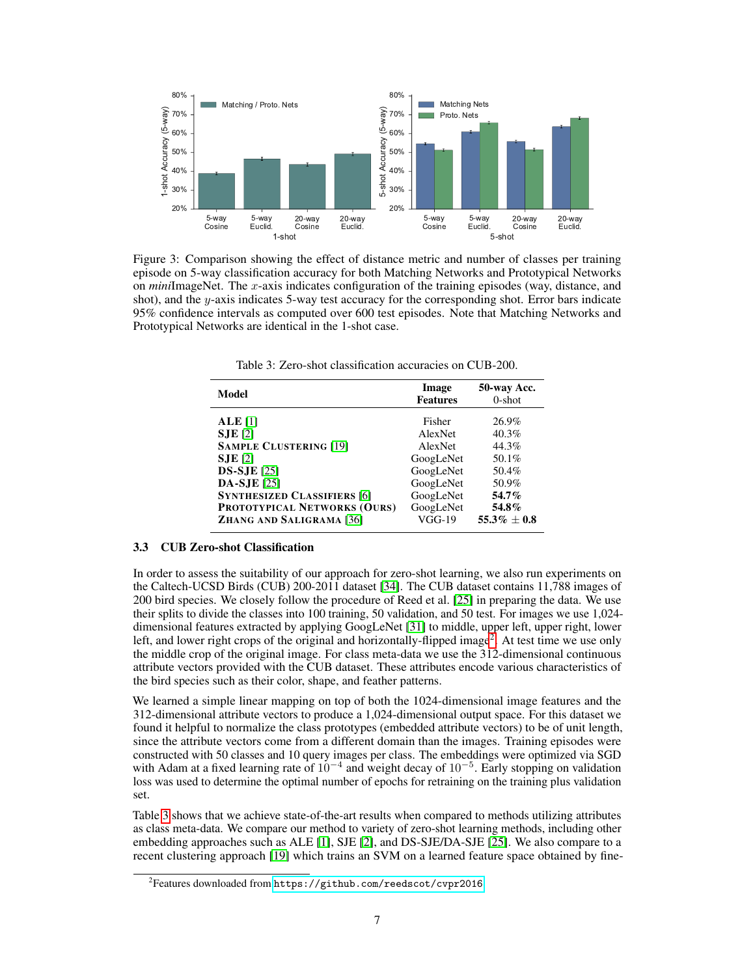<span id="page-6-0"></span>

Figure 3: Comparison showing the effect of distance metric and number of classes per training episode on 5-way classification accuracy for both Matching Networks and Prototypical Networks on *mini*ImageNet. The x-axis indicates configuration of the training episodes (way, distance, and shot), and the y-axis indicates 5-way test accuracy for the corresponding shot. Error bars indicate 95% confidence intervals as computed over 600 test episodes. Note that Matching Networks and Prototypical Networks are identical in the 1-shot case.

<span id="page-6-2"></span>

| Model                              | Image<br><b>Features</b> | 50-way Acc.<br>$0$ -shot |  |
|------------------------------------|--------------------------|--------------------------|--|
| ALE[1]                             | Fisher                   | 26.9%                    |  |
| $SJE$ [2]                          | AlexNet                  | 40.3%                    |  |
| <b>SAMPLE CLUSTERING [19]</b>      | AlexNet                  | 44.3%                    |  |
| $SJE$ [2]                          | GoogLeNet                | 50.1%                    |  |
| <b>DS-SJE</b> [25]                 | GoogLeNet                | 50.4%                    |  |
| <b>DA-SJE</b> [25]                 | GoogLeNet                | 50.9%                    |  |
| <b>SYNTHESIZED CLASSIFIERS [6]</b> | GoogLeNet                | 54.7%                    |  |
| PROTOTYPICAL NETWORKS (OURS)       | GoogLeNet                | 54.8%                    |  |
| ZHANG AND SALIGRAMA [36]           | $VGG-19$                 | $55.3\% \pm 0.8$         |  |

Table 3: Zero-shot classification accuracies on CUB-200.

## 3.3 CUB Zero-shot Classification

In order to assess the suitability of our approach for zero-shot learning, we also run experiments on the Caltech-UCSD Birds (CUB) 200-2011 dataset [\[34\]](#page-10-4). The CUB dataset contains 11,788 images of 200 bird species. We closely follow the procedure of Reed et al. [\[25\]](#page-9-15) in preparing the data. We use their splits to divide the classes into 100 training, 50 validation, and 50 test. For images we use 1,024 dimensional features extracted by applying GoogLeNet [\[31\]](#page-10-1) to middle, upper left, upper right, lower left, and lower right crops of the original and horizontally-flipped image<sup>[2](#page-6-1)</sup>. At test time we use only the middle crop of the original image. For class meta-data we use the 312-dimensional continuous attribute vectors provided with the CUB dataset. These attributes encode various characteristics of the bird species such as their color, shape, and feather patterns.

We learned a simple linear mapping on top of both the 1024-dimensional image features and the 312-dimensional attribute vectors to produce a 1,024-dimensional output space. For this dataset we found it helpful to normalize the class prototypes (embedded attribute vectors) to be of unit length, since the attribute vectors come from a different domain than the images. Training episodes were constructed with 50 classes and 10 query images per class. The embeddings were optimized via SGD with Adam at a fixed learning rate of  $10^{-4}$  and weight decay of  $10^{-5}$ . Early stopping on validation loss was used to determine the optimal number of epochs for retraining on the training plus validation set.

Table [3](#page-6-2) shows that we achieve state-of-the-art results when compared to methods utilizing attributes as class meta-data. We compare our method to variety of zero-shot learning methods, including other embedding approaches such as ALE [\[1\]](#page-8-0), SJE [\[2\]](#page-8-1), and DS-SJE/DA-SJE [\[25\]](#page-9-15). We also compare to a recent clustering approach [\[19\]](#page-9-14) which trains an SVM on a learned feature space obtained by fine-

<span id="page-6-1"></span> $^{2}$ Features downloaded from <code><https://github.com/reedscot/cvpr2016>.</code>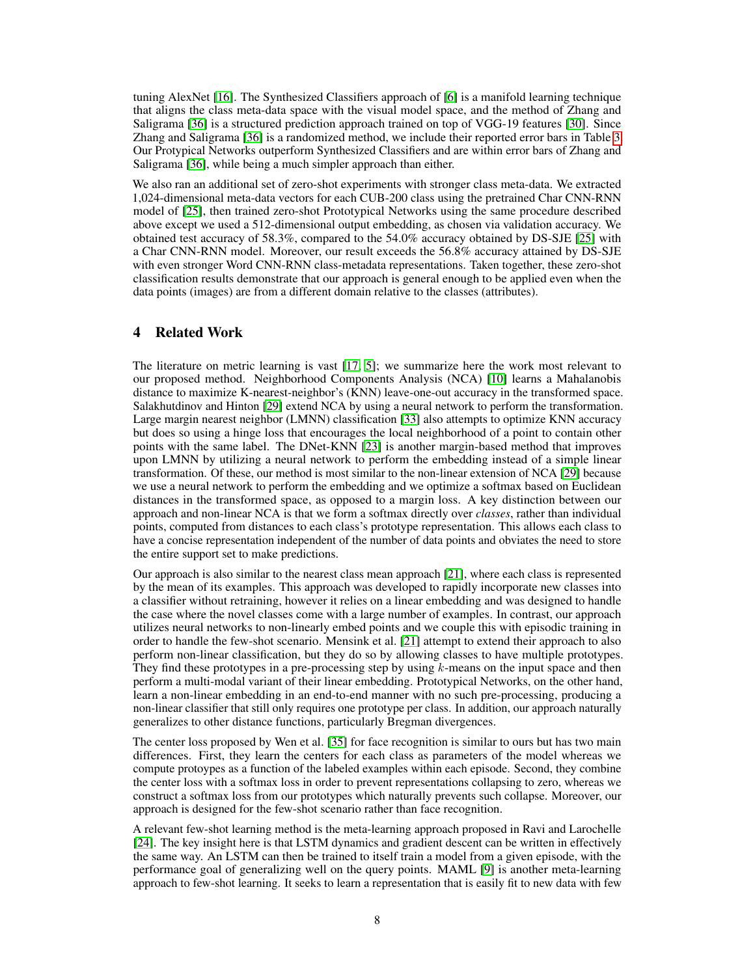tuning AlexNet [\[16\]](#page-9-7). The Synthesized Classifiers approach of [\[6\]](#page-9-16) is a manifold learning technique that aligns the class meta-data space with the visual model space, and the method of Zhang and Saligrama [\[36\]](#page-10-5) is a structured prediction approach trained on top of VGG-19 features [\[30\]](#page-10-6). Since Zhang and Saligrama [\[36\]](#page-10-5) is a randomized method, we include their reported error bars in Table [3.](#page-6-2) Our Protypical Networks outperform Synthesized Classifiers and are within error bars of Zhang and Saligrama [\[36\]](#page-10-5), while being a much simpler approach than either.

We also ran an additional set of zero-shot experiments with stronger class meta-data. We extracted 1,024-dimensional meta-data vectors for each CUB-200 class using the pretrained Char CNN-RNN model of [\[25\]](#page-9-15), then trained zero-shot Prototypical Networks using the same procedure described above except we used a 512-dimensional output embedding, as chosen via validation accuracy. We obtained test accuracy of 58.3%, compared to the 54.0% accuracy obtained by DS-SJE [\[25\]](#page-9-15) with a Char CNN-RNN model. Moreover, our result exceeds the 56.8% accuracy attained by DS-SJE with even stronger Word CNN-RNN class-metadata representations. Taken together, these zero-shot classification results demonstrate that our approach is general enough to be applied even when the data points (images) are from a different domain relative to the classes (attributes).

# 4 Related Work

The literature on metric learning is vast [\[17,](#page-9-17) [5\]](#page-9-18); we summarize here the work most relevant to our proposed method. Neighborhood Components Analysis (NCA) [\[10\]](#page-9-19) learns a Mahalanobis distance to maximize K-nearest-neighbor's (KNN) leave-one-out accuracy in the transformed space. Salakhutdinov and Hinton [\[29\]](#page-10-7) extend NCA by using a neural network to perform the transformation. Large margin nearest neighbor (LMNN) classification [\[33\]](#page-10-8) also attempts to optimize KNN accuracy but does so using a hinge loss that encourages the local neighborhood of a point to contain other points with the same label. The DNet-KNN [\[23\]](#page-9-20) is another margin-based method that improves upon LMNN by utilizing a neural network to perform the embedding instead of a simple linear transformation. Of these, our method is most similar to the non-linear extension of NCA [\[29\]](#page-10-7) because we use a neural network to perform the embedding and we optimize a softmax based on Euclidean distances in the transformed space, as opposed to a margin loss. A key distinction between our approach and non-linear NCA is that we form a softmax directly over *classes*, rather than individual points, computed from distances to each class's prototype representation. This allows each class to have a concise representation independent of the number of data points and obviates the need to store the entire support set to make predictions.

Our approach is also similar to the nearest class mean approach [\[21\]](#page-9-6), where each class is represented by the mean of its examples. This approach was developed to rapidly incorporate new classes into a classifier without retraining, however it relies on a linear embedding and was designed to handle the case where the novel classes come with a large number of examples. In contrast, our approach utilizes neural networks to non-linearly embed points and we couple this with episodic training in order to handle the few-shot scenario. Mensink et al. [\[21\]](#page-9-6) attempt to extend their approach to also perform non-linear classification, but they do so by allowing classes to have multiple prototypes. They find these prototypes in a pre-processing step by using  $k$ -means on the input space and then perform a multi-modal variant of their linear embedding. Prototypical Networks, on the other hand, learn a non-linear embedding in an end-to-end manner with no such pre-processing, producing a non-linear classifier that still only requires one prototype per class. In addition, our approach naturally generalizes to other distance functions, particularly Bregman divergences.

The center loss proposed by Wen et al. [\[35\]](#page-10-9) for face recognition is similar to ours but has two main differences. First, they learn the centers for each class as parameters of the model whereas we compute protoypes as a function of the labeled examples within each episode. Second, they combine the center loss with a softmax loss in order to prevent representations collapsing to zero, whereas we construct a softmax loss from our prototypes which naturally prevents such collapse. Moreover, our approach is designed for the few-shot scenario rather than face recognition.

A relevant few-shot learning method is the meta-learning approach proposed in Ravi and Larochelle [\[24\]](#page-9-3). The key insight here is that LSTM dynamics and gradient descent can be written in effectively the same way. An LSTM can then be trained to itself train a model from a given episode, with the performance goal of generalizing well on the query points. MAML [\[9\]](#page-9-12) is another meta-learning approach to few-shot learning. It seeks to learn a representation that is easily fit to new data with few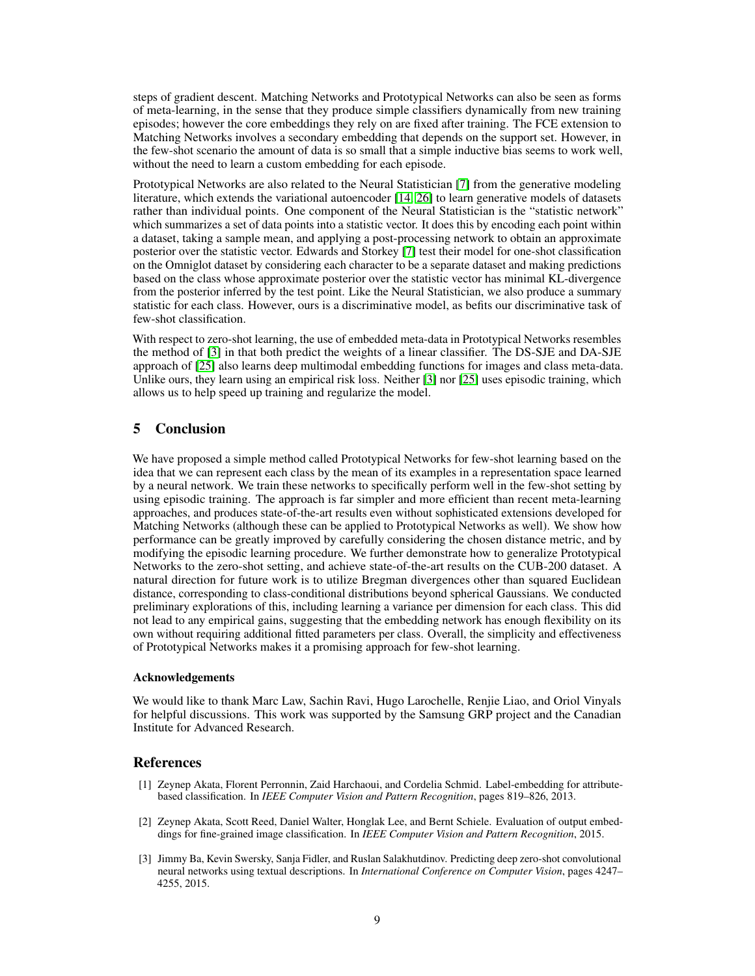steps of gradient descent. Matching Networks and Prototypical Networks can also be seen as forms of meta-learning, in the sense that they produce simple classifiers dynamically from new training episodes; however the core embeddings they rely on are fixed after training. The FCE extension to Matching Networks involves a secondary embedding that depends on the support set. However, in the few-shot scenario the amount of data is so small that a simple inductive bias seems to work well, without the need to learn a custom embedding for each episode.

Prototypical Networks are also related to the Neural Statistician [\[7\]](#page-9-11) from the generative modeling literature, which extends the variational autoencoder [\[14,](#page-9-21) [26\]](#page-9-22) to learn generative models of datasets rather than individual points. One component of the Neural Statistician is the "statistic network" which summarizes a set of data points into a statistic vector. It does this by encoding each point within a dataset, taking a sample mean, and applying a post-processing network to obtain an approximate posterior over the statistic vector. Edwards and Storkey [\[7\]](#page-9-11) test their model for one-shot classification on the Omniglot dataset by considering each character to be a separate dataset and making predictions based on the class whose approximate posterior over the statistic vector has minimal KL-divergence from the posterior inferred by the test point. Like the Neural Statistician, we also produce a summary statistic for each class. However, ours is a discriminative model, as befits our discriminative task of few-shot classification.

With respect to zero-shot learning, the use of embedded meta-data in Prototypical Networks resembles the method of [\[3\]](#page-8-2) in that both predict the weights of a linear classifier. The DS-SJE and DA-SJE approach of [\[25\]](#page-9-15) also learns deep multimodal embedding functions for images and class meta-data. Unlike ours, they learn using an empirical risk loss. Neither [\[3\]](#page-8-2) nor [\[25\]](#page-9-15) uses episodic training, which allows us to help speed up training and regularize the model.

# 5 Conclusion

We have proposed a simple method called Prototypical Networks for few-shot learning based on the idea that we can represent each class by the mean of its examples in a representation space learned by a neural network. We train these networks to specifically perform well in the few-shot setting by using episodic training. The approach is far simpler and more efficient than recent meta-learning approaches, and produces state-of-the-art results even without sophisticated extensions developed for Matching Networks (although these can be applied to Prototypical Networks as well). We show how performance can be greatly improved by carefully considering the chosen distance metric, and by modifying the episodic learning procedure. We further demonstrate how to generalize Prototypical Networks to the zero-shot setting, and achieve state-of-the-art results on the CUB-200 dataset. A natural direction for future work is to utilize Bregman divergences other than squared Euclidean distance, corresponding to class-conditional distributions beyond spherical Gaussians. We conducted preliminary explorations of this, including learning a variance per dimension for each class. This did not lead to any empirical gains, suggesting that the embedding network has enough flexibility on its own without requiring additional fitted parameters per class. Overall, the simplicity and effectiveness of Prototypical Networks makes it a promising approach for few-shot learning.

## Acknowledgements

We would like to thank Marc Law, Sachin Ravi, Hugo Larochelle, Renjie Liao, and Oriol Vinyals for helpful discussions. This work was supported by the Samsung GRP project and the Canadian Institute for Advanced Research.

# References

- <span id="page-8-0"></span>[1] Zeynep Akata, Florent Perronnin, Zaid Harchaoui, and Cordelia Schmid. Label-embedding for attributebased classification. In *IEEE Computer Vision and Pattern Recognition*, pages 819–826, 2013.
- <span id="page-8-1"></span>[2] Zeynep Akata, Scott Reed, Daniel Walter, Honglak Lee, and Bernt Schiele. Evaluation of output embeddings for fine-grained image classification. In *IEEE Computer Vision and Pattern Recognition*, 2015.
- <span id="page-8-2"></span>[3] Jimmy Ba, Kevin Swersky, Sanja Fidler, and Ruslan Salakhutdinov. Predicting deep zero-shot convolutional neural networks using textual descriptions. In *International Conference on Computer Vision*, pages 4247– 4255, 2015.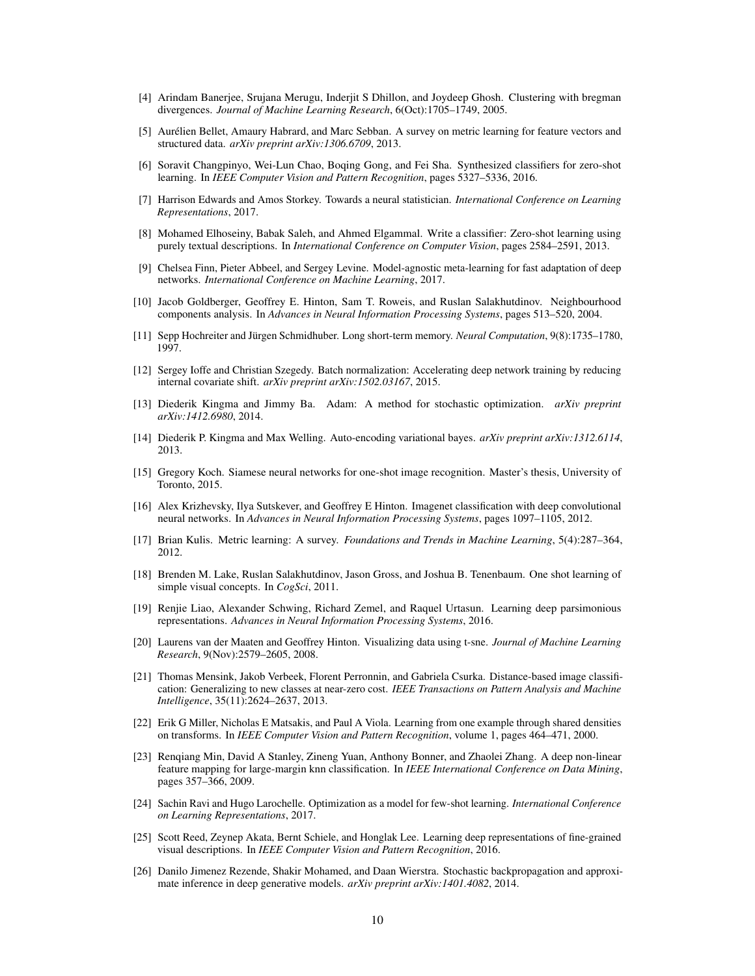- <span id="page-9-5"></span>[4] Arindam Banerjee, Srujana Merugu, Inderjit S Dhillon, and Joydeep Ghosh. Clustering with bregman divergences. *Journal of Machine Learning Research*, 6(Oct):1705–1749, 2005.
- <span id="page-9-18"></span>[5] Aurélien Bellet, Amaury Habrard, and Marc Sebban. A survey on metric learning for feature vectors and structured data. *arXiv preprint arXiv:1306.6709*, 2013.
- <span id="page-9-16"></span>[6] Soravit Changpinyo, Wei-Lun Chao, Boqing Gong, and Fei Sha. Synthesized classifiers for zero-shot learning. In *IEEE Computer Vision and Pattern Recognition*, pages 5327–5336, 2016.
- <span id="page-9-11"></span>[7] Harrison Edwards and Amos Storkey. Towards a neural statistician. *International Conference on Learning Representations*, 2017.
- <span id="page-9-8"></span>[8] Mohamed Elhoseiny, Babak Saleh, and Ahmed Elgammal. Write a classifier: Zero-shot learning using purely textual descriptions. In *International Conference on Computer Vision*, pages 2584–2591, 2013.
- <span id="page-9-12"></span>[9] Chelsea Finn, Pieter Abbeel, and Sergey Levine. Model-agnostic meta-learning for fast adaptation of deep networks. *International Conference on Machine Learning*, 2017.
- <span id="page-9-19"></span>[10] Jacob Goldberger, Geoffrey E. Hinton, Sam T. Roweis, and Ruslan Salakhutdinov. Neighbourhood components analysis. In *Advances in Neural Information Processing Systems*, pages 513–520, 2004.
- <span id="page-9-4"></span>[11] Sepp Hochreiter and Jürgen Schmidhuber. Long short-term memory. *Neural Computation*, 9(8):1735–1780, 1997.
- <span id="page-9-9"></span>[12] Sergey Ioffe and Christian Szegedy. Batch normalization: Accelerating deep network training by reducing internal covariate shift. *arXiv preprint arXiv:1502.03167*, 2015.
- <span id="page-9-10"></span>[13] Diederik Kingma and Jimmy Ba. Adam: A method for stochastic optimization. *arXiv preprint arXiv:1412.6980*, 2014.
- <span id="page-9-21"></span>[14] Diederik P. Kingma and Max Welling. Auto-encoding variational bayes. *arXiv preprint arXiv:1312.6114*, 2013.
- <span id="page-9-2"></span>[15] Gregory Koch. Siamese neural networks for one-shot image recognition. Master's thesis, University of Toronto, 2015.
- <span id="page-9-7"></span>[16] Alex Krizhevsky, Ilya Sutskever, and Geoffrey E Hinton. Imagenet classification with deep convolutional neural networks. In *Advances in Neural Information Processing Systems*, pages 1097–1105, 2012.
- <span id="page-9-17"></span>[17] Brian Kulis. Metric learning: A survey. *Foundations and Trends in Machine Learning*, 5(4):287–364, 2012.
- <span id="page-9-1"></span>[18] Brenden M. Lake, Ruslan Salakhutdinov, Jason Gross, and Joshua B. Tenenbaum. One shot learning of simple visual concepts. In *CogSci*, 2011.
- <span id="page-9-14"></span>[19] Renjie Liao, Alexander Schwing, Richard Zemel, and Raquel Urtasun. Learning deep parsimonious representations. *Advances in Neural Information Processing Systems*, 2016.
- <span id="page-9-13"></span>[20] Laurens van der Maaten and Geoffrey Hinton. Visualizing data using t-sne. *Journal of Machine Learning Research*, 9(Nov):2579–2605, 2008.
- <span id="page-9-6"></span>[21] Thomas Mensink, Jakob Verbeek, Florent Perronnin, and Gabriela Csurka. Distance-based image classification: Generalizing to new classes at near-zero cost. *IEEE Transactions on Pattern Analysis and Machine Intelligence*, 35(11):2624–2637, 2013.
- <span id="page-9-0"></span>[22] Erik G Miller, Nicholas E Matsakis, and Paul A Viola. Learning from one example through shared densities on transforms. In *IEEE Computer Vision and Pattern Recognition*, volume 1, pages 464–471, 2000.
- <span id="page-9-20"></span>[23] Renqiang Min, David A Stanley, Zineng Yuan, Anthony Bonner, and Zhaolei Zhang. A deep non-linear feature mapping for large-margin knn classification. In *IEEE International Conference on Data Mining*, pages 357–366, 2009.
- <span id="page-9-3"></span>[24] Sachin Ravi and Hugo Larochelle. Optimization as a model for few-shot learning. *International Conference on Learning Representations*, 2017.
- <span id="page-9-15"></span>[25] Scott Reed, Zeynep Akata, Bernt Schiele, and Honglak Lee. Learning deep representations of fine-grained visual descriptions. In *IEEE Computer Vision and Pattern Recognition*, 2016.
- <span id="page-9-22"></span>[26] Danilo Jimenez Rezende, Shakir Mohamed, and Daan Wierstra. Stochastic backpropagation and approximate inference in deep generative models. *arXiv preprint arXiv:1401.4082*, 2014.